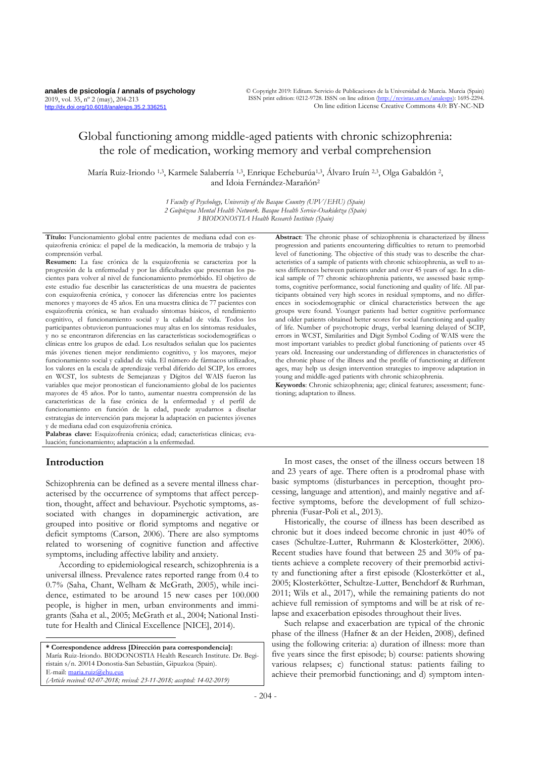# Global functioning among middle-aged patients with chronic schizophrenia: the role of medication, working memory and verbal comprehension

María Ruiz-Iriondo 1,3, Karmele Salaberría 1,3, Enrique Echeburúa1,3, Álvaro Iruín 2,3, Olga Gabaldón 2, and Idoia Fernández-Marañón<sup>2</sup>

> *1 Faculty of Psychology, University of the Basque Country (UPV/EHU) (Spain) 2 Guipúzcoa Mental Health Network. Basque Health Service-Osakidetza (Spain) 3 BIODONOSTIA Health Research Institute (Spain)*

**Título:** Funcionamiento global entre pacientes de mediana edad con esquizofrenia crónica: el papel de la medicación, la memoria de trabajo y la comprensión verbal.

**Resumen:** La fase crónica de la esquizofrenia se caracteriza por la progresión de la enfermedad y por las dificultades que presentan los pacientes para volver al nivel de funcionamiento premórbido. El objetivo de este estudio fue describir las características de una muestra de pacientes con esquizofrenia crónica, y conocer las diferencias entre los pacientes menores y mayores de 45 años. En una muestra clínica de 77 pacientes con esquizofrenia crónica, se han evaluado síntomas básicos, el rendimiento cognitivo, el funcionamiento social y la calidad de vida. Todos los participantes obtuvieron puntuaciones muy altas en los síntomas residuales, y no se encontraron diferencias en las características sociodemográficas o clínicas entre los grupos de edad. Los resultados señalan que los pacientes más jóvenes tienen mejor rendimiento cognitivo, y los mayores, mejor funcionamiento social y calidad de vida. El número de fármacos utilizados, los valores en la escala de aprendizaje verbal diferido del SCIP, los errores en WCST, los subtests de Semejanzas y Dígitos del WAIS fueron las variables que mejor pronostican el funcionamiento global de los pacientes mayores de 45 años. Por lo tanto, aumentar nuestra comprensión de las características de la fase crónica de la enfermedad y el perfil de funcionamiento en función de la edad, puede ayudarnos a diseñar estrategias de intervención para mejorar la adaptación en pacientes jóvenes y de mediana edad con esquizofrenia crónica.

**Palabras clave:** Esquizofrenia crónica; edad; características clínicas; evaluación; funcionamiento; adaptación a la enfermedad.

## **Introduction**

-

Schizophrenia can be defined as a severe mental illness characterised by the occurrence of symptoms that affect perception, thought, affect and behaviour. Psychotic symptoms, associated with changes in dopaminergic activation, are grouped into positive or florid symptoms and negative or deficit symptoms (Carson, 2006). There are also symptoms related to worsening of cognitive function and affective symptoms, including affective lability and anxiety.

According to epidemiological research, schizophrenia is a universal illness. Prevalence rates reported range from 0.4 to 0.7*%* (Saha, Chant, Welham & McGrath, 2005), while incidence, estimated to be around 15 new cases per 100.000 people, is higher in men, urban environments and immigrants (Saha et al., 2005; McGrath et al., 2004; National Institute for Health and Clinical Excellence [NICE], 2014).

**\* Correspondence address [Dirección para correspondencia]:** María Ruiz-Iriondo. BIODONOSTIA Health Research Institute. Dr. Begiristain s/n. 20014 Donostia-San Sebastián, Gipuzkoa (Spain). E-mail[: maria.ruiz@ehu.eus](mailto:maria.ruiz@ehu.eus) *(Article received: 02-07-2018; revised: 23-11-2018; accepted: 14-02-2019)*

**Abstract**: The chronic phase of schizophrenia is characterized by illness progression and patients encountering difficulties to return to premorbid level of functioning. The objective of this study was to describe the characteristics of a sample of patients with chronic schizophrenia, as well to assess differences between patients under and over 45 years of age. In a clinical sample of 77 chronic schizophrenia patients, we assessed basic symptoms, cognitive performance, social functioning and quality of life. All participants obtained very high scores in residual symptoms, and no differences in sociodemographic or clinical characteristics between the age groups were found. Younger patients had better cognitive performance and older patients obtained better scores for social functioning and quality of life. Number of psychotropic drugs, verbal learning delayed of SCIP, errors in WCST, Similarities and Digit Symbol Coding of WAIS were the most important variables to predict global functioning of patients over 45 years old. Increasing our understanding of differences in characteristics of the chronic phase of the illness and the profile of functioning at different ages, may help us design intervention strategies to improve adaptation in young and middle-aged patients with chronic schizophrenia.

**Keywords**: Chronic schizophrenia; age; clinical features; assessment; functioning; adaptation to illness.

In most cases, the onset of the illness occurs between 18 and 23 years of age. There often is a prodromal phase with basic symptoms (disturbances in perception, thought processing, language and attention), and mainly negative and affective symptoms, before the development of full schizophrenia (Fusar-Poli et al., 2013).

Historically, the course of illness has been described as chronic but it does indeed become chronic in just 40*%* of cases (Schultze-Lutter, Ruhrmann & Klosterkötter, 2006). Recent studies have found that between 25 and 30*%* of patients achieve a complete recovery of their premorbid activity and functioning after a first episode (Klosterkötter et al., 2005; Klosterkötter, Schultze-Lutter, Benchdorf & Rurhman, 2011; Wils et al., 2017), while the remaining patients do not achieve full remission of symptoms and will be at risk of relapse and exacerbation episodes throughout their lives.

Such relapse and exacerbation are typical of the chronic phase of the illness (Hafner & an der Heiden, 2008), defined using the following criteria: a) duration of illness: more than five years since the first episode; b) course: patients showing various relapses; c) functional status: patients failing to achieve their premorbid functioning; and d) symptom inten-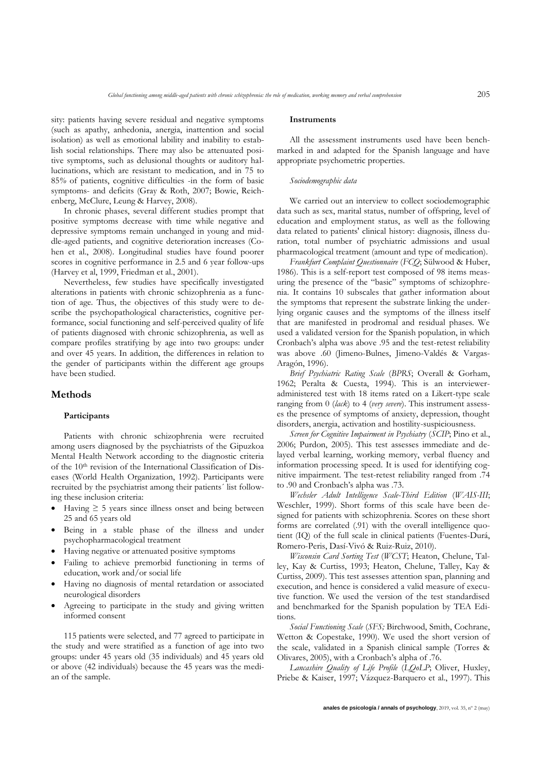sity: patients having severe residual and negative symptoms (such as apathy, anhedonia, anergia, inattention and social isolation) as well as emotional lability and inability to establish social relationships. There may also be attenuated positive symptoms, such as delusional thoughts or auditory hallucinations, which are resistant to medication, and in 75 to 85*%* of patients, cognitive difficulties -in the form of basic symptoms- and deficits (Gray & Roth, 2007; Bowie, Reichenberg, McClure, Leung & Harvey, 2008).

In chronic phases, several different studies prompt that positive symptoms decrease with time while negative and depressive symptoms remain unchanged in young and middle-aged patients, and cognitive deterioration increases (Cohen et al., 2008). Longitudinal studies have found poorer scores in cognitive performance in 2.5 and 6 year follow-ups (Harvey et al, 1999, Friedman et al., 2001).

Nevertheless, few studies have specifically investigated alterations in patients with chronic schizophrenia as a function of age. Thus, the objectives of this study were to describe the psychopathological characteristics, cognitive performance, social functioning and self-perceived quality of life of patients diagnosed with chronic schizophrenia, as well as compare profiles stratifying by age into two groups: under and over 45 years. In addition, the differences in relation to the gender of participants within the different age groups have been studied.

## **Methods**

#### **Participants**

Patients with chronic schizophrenia were recruited among users diagnosed by the psychiatrists of the Gipuzkoa Mental Health Network according to the diagnostic criteria of the 10th revision of the International Classification of Diseases (World Health Organization, 1992). Participants were recruited by the psychiatrist among their patients´ list following these inclusion criteria:

- Having  $\geq$  5 years since illness onset and being between 25 and 65 years old
- Being in a stable phase of the illness and under psychopharmacological treatment
- Having negative or attenuated positive symptoms
- Failing to achieve premorbid functioning in terms of education, work and/or social life
- Having no diagnosis of mental retardation or associated neurological disorders
- Agreeing to participate in the study and giving written informed consent

115 patients were selected, and 77 agreed to participate in the study and were stratified as a function of age into two groups: under 45 years old (35 individuals) and 45 years old or above (42 individuals) because the 45 years was the median of the sample.

#### **Instruments**

All the assessment instruments used have been benchmarked in and adapted for the Spanish language and have appropriate psychometric properties.

## *Sociodemographic data*

We carried out an interview to collect sociodemographic data such as sex, marital status, number of offspring, level of education and employment status, as well as the following data related to patients' clinical history: diagnosis, illness duration, total number of psychiatric admissions and usual pharmacological treatment (amount and type of medication).

*Frankfurt Complaint Questionnaire* (*FCQ*; Sülwood & Huber, 1986). This is a self-report test composed of 98 items measuring the presence of the "basic" symptoms of schizophrenia. It contains 10 subscales that gather information about the symptoms that represent the substrate linking the underlying organic causes and the symptoms of the illness itself that are manifested in prodromal and residual phases. We used a validated version for the Spanish population, in which Cronbach's alpha was above .95 and the test-retest reliability was above .60 (Jimeno-Bulnes, Jimeno-Valdés & Vargas-Aragón, 1996).

*Brief Psychiatric Rating Scale* (*BPRS*; Overall & Gorham, 1962; Peralta & Cuesta, 1994). This is an intervieweradministered test with 18 items rated on a Likert-type scale ranging from 0 (*lack*) to 4 (*very severe*). This instrument assesses the presence of symptoms of anxiety, depression, thought disorders, anergia, activation and hostility-suspiciousness.

*Screen for Cognitive Impairment in Psychiatry* (*SCIP*; Pino et al., 2006; Purdon, 2005). This test assesses immediate and delayed verbal learning, working memory, verbal fluency and information processing speed. It is used for identifying cognitive impairment. The test-retest reliability ranged from .74 to .90 and Cronbach's alpha was .73.

*Wechsler Adult Intelligence Scale-Third Edition* (*WAIS-III*; Weschler, 1999). Short forms of this scale have been designed for patients with schizophrenia. Scores on these short forms are correlated (.91) with the overall intelligence quotient (IQ) of the full scale in clinical patients (Fuentes-Durá, Romero-Peris, Dasí-Vivó & Ruiz-Ruiz, 2010).

*Wisconsin Card Sorting Test* (*WCST*; Heaton, Chelune, Talley, Kay & Curtiss, 1993; Heaton, Chelune, Talley, Kay & Curtiss, 2009). This test assesses attention span, planning and execution, and hence is considered a valid measure of executive function. We used the version of the test standardised and benchmarked for the Spanish population by TEA Editions.

*Social Functioning Scale* (*SFS;* Birchwood, Smith, Cochrane, Wetton & Copestake, 1990). We used the short version of the scale, validated in a Spanish clinical sample (Torres & Olivares, 2005), with a Cronbach's alpha of .76.

*Lancashire Quality of Life Profile* (*LQoLP*; Oliver, Huxley, Priebe & Kaiser, 1997; Vázquez-Barquero et al., 1997). This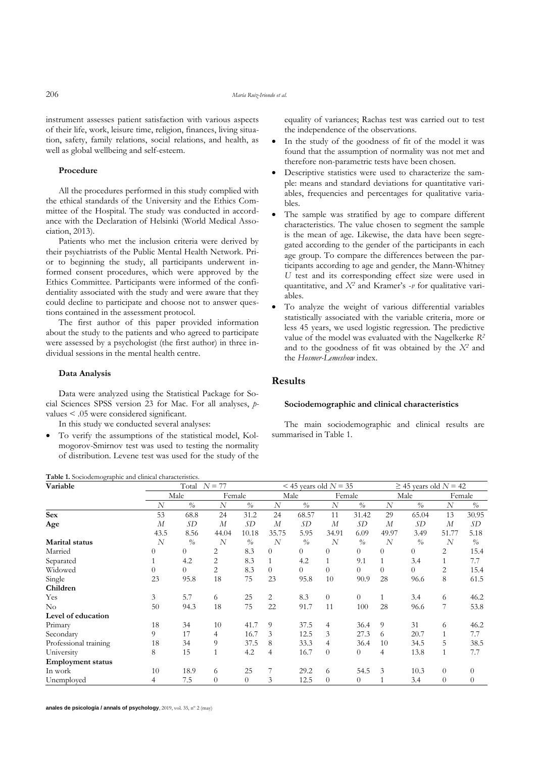instrument assesses patient satisfaction with various aspects of their life, work, leisure time, religion, finances, living situation, safety, family relations, social relations, and health, as well as global wellbeing and self-esteem.

#### **Procedure**

All the procedures performed in this study complied with the ethical standards of the University and the Ethics Committee of the Hospital. The study was conducted in accordance with the Declaration of Helsinki (World Medical Association, 2013).

Patients who met the inclusion criteria were derived by their psychiatrists of the Public Mental Health Network. Prior to beginning the study, all participants underwent informed consent procedures, which were approved by the Ethics Committee. Participants were informed of the confidentiality associated with the study and were aware that they could decline to participate and choose not to answer questions contained in the assessment protocol.

The first author of this paper provided information about the study to the patients and who agreed to participate were assessed by a psychologist (the first author) in three individual sessions in the mental health centre.

#### **Data Analysis**

Data were analyzed using the Statistical Package for Social Sciences SPSS version 23 for Mac. For all analyses, *p*values < .05 were considered significant.

In this study we conducted several analyses:

• To verify the assumptions of the statistical model, Kolmogorov-Smirnov test was used to testing the normality of distribution. Levene test was used for the study of the

equality of variances; Rachas test was carried out to test the independence of the observations.

- In the study of the goodness of fit of the model it was found that the assumption of normality was not met and therefore non-parametric tests have been chosen.
- Descriptive statistics were used to characterize the sample: means and standard deviations for quantitative variables, frequencies and percentages for qualitative variables.
- The sample was stratified by age to compare different characteristics. The value chosen to segment the sample is the mean of age. Likewise, the data have been segregated according to the gender of the participants in each age group. To compare the differences between the participants according to age and gender, the Mann-Whitney *U* test and its corresponding effect size were used in quantitative, and *X<sup>2</sup>* and Kramer's -*v* for qualitative variables.
- To analyze the weight of various differential variables statistically associated with the variable criteria, more or less 45 years, we used logistic regression. The predictive value of the model was evaluated with the Nagelkerke *R<sup>2</sup>* and to the goodness of fit was obtained by the *X<sup>2</sup>* and the *Hosmer-Lemeshow* index.

# **Results**

#### **Sociodemographic and clinical characteristics**

The main sociodemographic and clinical results are summarised in Table 1.

| Variable                 |                  | Total                            | $N = 77$         |                                  |                  |                                  | $<$ 45 years old $N = 35$ |                                    |                  | $\geq$ 45 years old $N = 42$     |                  |                                  |  |
|--------------------------|------------------|----------------------------------|------------------|----------------------------------|------------------|----------------------------------|---------------------------|------------------------------------|------------------|----------------------------------|------------------|----------------------------------|--|
|                          |                  | Male                             | Female           |                                  | Male             |                                  | Female                    |                                    |                  | Male                             |                  | Female                           |  |
|                          | $\boldsymbol{N}$ | $\frac{\partial}{\partial \rho}$ | $\overline{N}$   | $\frac{\partial}{\partial \rho}$ | $\overline{N}$   | $\frac{\partial}{\partial \rho}$ | N                         | $\frac{\partial}{\partial \rho}$   | $\overline{N}$   | $\frac{\partial}{\partial \rho}$ | $\boldsymbol{N}$ | $\frac{\partial}{\partial \rho}$ |  |
| <b>Sex</b>               | 53               | 68.8                             | 24               | 31.2                             | 24               | 68.57                            | 11                        | 31.42                              | 29               | 65.04                            | 13               | 30.95                            |  |
| Age                      | $\boldsymbol{M}$ | SD                               | $\boldsymbol{M}$ | SD                               | $\boldsymbol{M}$ | SD                               | $\boldsymbol{M}$          | SD                                 | $\boldsymbol{M}$ | SD                               | $\boldsymbol{M}$ | SD                               |  |
|                          | 43.5             | 8.56                             | 44.04            | 10.18                            | 35.75            | 5.95                             | 34.91                     | 6.09                               | 49.97            | 3.49                             | 51.77            | 5.18                             |  |
| <b>Marital</b> status    | N                | $\frac{0}{a}$                    | $\overline{N}$   | $\frac{0}{0}$                    | $\overline{N}$   | $\frac{0}{0}$                    | N                         | $\frac{\partial}{\partial \theta}$ | $\overline{N}$   | $\frac{\partial}{\partial \rho}$ | N                | $\frac{0}{0}$                    |  |
| Married                  | $\overline{0}$   | $\Omega$                         | 2                | 8.3                              | $\overline{0}$   | $\theta$                         | $\theta$                  | $\Omega$                           | $\overline{0}$   | $\overline{0}$                   | 2                | 15.4                             |  |
| Separated                | 1                | 4.2                              | $\overline{2}$   | 8.3                              | $\mathbf{1}$     | 4.2                              |                           | 9.1                                |                  | 3.4                              | $\mathbf{1}$     | 7.7                              |  |
| Widowed                  | $\overline{0}$   | $\Omega$                         | 2                | 8.3                              | $\overline{0}$   | $\Omega$                         | $\overline{0}$            | $\Omega$                           | 0                | $\overline{0}$                   | 2                | 15.4                             |  |
| Single                   | 23               | 95.8                             | 18               | 75                               | 23               | 95.8                             | 10                        | 90.9                               | 28               | 96.6                             | 8                | 61.5                             |  |
| Children                 |                  |                                  |                  |                                  |                  |                                  |                           |                                    |                  |                                  |                  |                                  |  |
| Yes                      | 3                | 5.7                              | 6                | 25                               | 2                | 8.3                              | $\overline{0}$            | $\overline{0}$                     |                  | 3.4                              | 6                | 46.2                             |  |
| $\rm No$                 | 50               | 94.3                             | 18               | 75                               | 22               | 91.7                             | 11                        | 100                                | 28               | 96.6                             | 7                | 53.8                             |  |
| Level of education       |                  |                                  |                  |                                  |                  |                                  |                           |                                    |                  |                                  |                  |                                  |  |
| Primary                  | 18               | 34                               | 10               | 41.7                             | 9                | 37.5                             | 4                         | 36.4                               | 9                | 31                               | 6                | 46.2                             |  |
| Secondary                | 9                | 17                               | 4                | 16.7                             | 3                | 12.5                             | 3                         | 27.3                               | 6                | 20.7                             | $\mathbf{1}$     | 7.7                              |  |
| Professional training    | 18               | 34                               | 9                | 37.5                             | 8                | 33.3                             | 4                         | 36.4                               | 10               | 34.5                             | 5                | 38.5                             |  |
| University               | 8                | 15                               |                  | 4.2                              | 4                | 16.7                             | $\theta$                  | $\overline{0}$                     | 4                | 13.8                             | $\mathbf{1}$     | 7.7                              |  |
| <b>Employment status</b> |                  |                                  |                  |                                  |                  |                                  |                           |                                    |                  |                                  |                  |                                  |  |
| In work                  | 10               | 18.9                             | 6                | 25                               | 7                | 29.2                             | 6                         | 54.5                               | 3                | 10.3                             | $\overline{0}$   | $\overline{0}$                   |  |
| Unemployed               | 4                | 7.5                              | $\overline{0}$   | $\overline{0}$                   | 3                | 12.5                             | $\overline{0}$            | $\overline{0}$                     |                  | 3.4                              | $\overline{0}$   | $\theta$                         |  |

**anales de psicología / annals of psychology**, 2019, vol. 35, nº 2 (may)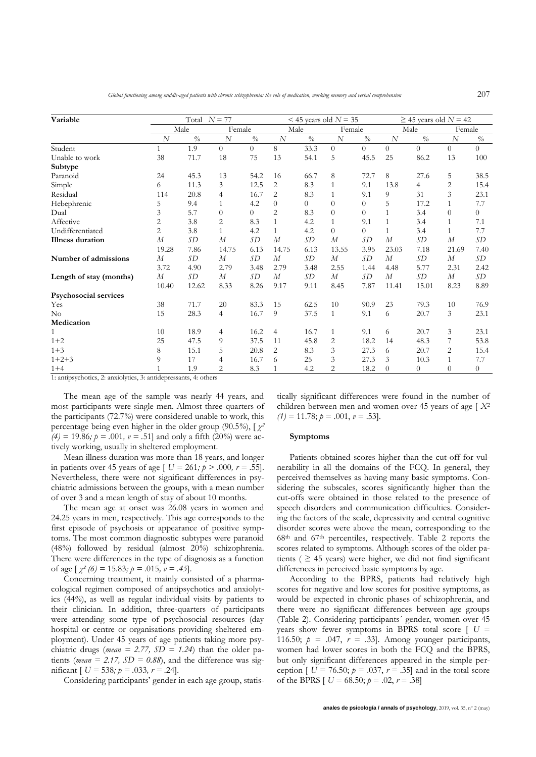| Variable                |                  | Total $N = 77$                   |                  |                               |                  |                                  | $<$ 45 years old $N = 35$ |                | $\geq$ 45 years old $N = 42$ |                |                  |                |  |
|-------------------------|------------------|----------------------------------|------------------|-------------------------------|------------------|----------------------------------|---------------------------|----------------|------------------------------|----------------|------------------|----------------|--|
|                         |                  | Male                             |                  | Female                        | Male             |                                  | Female                    |                |                              | Male           | Female           |                |  |
|                         | $\overline{N}$   | $\frac{\partial}{\partial \rho}$ | $\overline{N}$   | $\overline{\frac{\theta}{0}}$ | $\overline{N}$   | $\frac{\partial}{\partial \rho}$ | $\overline{N}$            | $\%$           | $\overline{N}$               | $\%$           | $\overline{N}$   | $\frac{o}{o}$  |  |
| Student                 | 1                | 1.9                              | $\Omega$         | $\overline{0}$                | 8                | 33.3                             | $\overline{0}$            | $\overline{0}$ | $\overline{0}$               | $\overline{0}$ | $\theta$         | $\theta$       |  |
| Unable to work          | 38               | 71.7                             | 18               | 75                            | 13               | 54.1                             | 5                         | 45.5           | 25                           | 86.2           | 13               | 100            |  |
| Subtype                 |                  |                                  |                  |                               |                  |                                  |                           |                |                              |                |                  |                |  |
| Paranoid                | 24               | 45.3                             | 13               | 54.2                          | 16               | 66.7                             | 8                         | 72.7           | 8                            | 27.6           | 5                | 38.5           |  |
| Simple                  | 6                | 11.3                             | 3                | 12.5                          | 2                | 8.3                              | $\mathbf{1}$              | 9.1            | 13.8                         | 4              | 2                | 15.4           |  |
| Residual                | 114              | 20.8                             | 4                | 16.7                          | $\overline{2}$   | 8.3                              | $\mathbf{1}$              | 9.1            | 9                            | 31             | 3                | 23.1           |  |
| Hebephrenic             | 5                | 9.4                              | $\mathbf{1}$     | 4.2                           | $\overline{0}$   | $\Omega$                         | $\theta$                  | $\overline{0}$ | 5                            | 17.2           | 1                | 7.7            |  |
| Dual                    | 3                | 5.7                              | $\theta$         | $\overline{0}$                | $\overline{2}$   | 8.3                              | $\overline{0}$            | $\Omega$       | 1                            | 3.4            | $\theta$         | $\overline{0}$ |  |
| Affective               | 2                | 3.8                              | $\overline{c}$   | 8.3                           | $\mathbf{1}$     | 4.2                              | 1                         | 9.1            | $\mathbf{1}$                 | 3.4            | 1                | 7.1            |  |
| Undifferentiated        | $\overline{c}$   | 3.8                              | $\mathbf{1}$     | 4.2                           | $\mathbf{1}$     | 4.2                              | $\overline{0}$            | $\Omega$       | $\mathbf{1}$                 | 3.4            | 1                | 7.7            |  |
| <b>Illness</b> duration | $\overline{M}$   | SD                               | $\overline{M}$   | SD                            | $\overline{M}$   | SD                               | $\overline{M}$            | SD             | $\overline{M}$               | SD             | $\overline{M}$   | SD             |  |
|                         | 19.28            | 7.86                             | 14.75            | 6.13                          | 14.75            | 6.13                             | 13.55                     | 3.95           | 23.03                        | 7.18           | 21.69            | 7.40           |  |
| Number of admissions    | $\boldsymbol{M}$ | SD                               | $\boldsymbol{M}$ | SD                            | $\boldsymbol{M}$ | SD                               | $\boldsymbol{M}$          | SD             | $\boldsymbol{M}$             | SD             | $\boldsymbol{M}$ | SD             |  |
|                         | 3.72             | 4.90                             | 2.79             | 3.48                          | 2.79             | 3.48                             | 2.55                      | 1.44           | 4.48                         | 5.77           | 2.31             | 2.42           |  |
| Length of stay (months) | М                | SD                               | $\boldsymbol{M}$ | SD                            | $\boldsymbol{M}$ | SD                               | $\boldsymbol{M}$          | SD             | $\overline{M}$               | SD             | $\boldsymbol{M}$ | SD             |  |
|                         | 10.40            | 12.62                            | 8.33             | 8.26                          | 9.17             | 9.11                             | 8.45                      | 7.87           | 11.41                        | 15.01          | 8.23             | 8.89           |  |
| Psychosocial services   |                  |                                  |                  |                               |                  |                                  |                           |                |                              |                |                  |                |  |
| Yes                     | 38               | 71.7                             | 20               | 83.3                          | 15               | 62.5                             | 10                        | 90.9           | 23                           | 79.3           | 10               | 76.9           |  |
| No                      | 15               | 28.3                             | $\overline{4}$   | 16.7                          | 9                | 37.5                             | $\mathbf{1}$              | 9.1            | 6                            | 20.7           | 3                | 23.1           |  |
| Medication              |                  |                                  |                  |                               |                  |                                  |                           |                |                              |                |                  |                |  |
| 1                       | 10               | 18.9                             | 4                | 16.2                          | $\overline{4}$   | 16.7                             | $\mathbf{1}$              | 9.1            | 6                            | 20.7           | 3                | 23.1           |  |
| $1 + 2$                 | 25               | 47.5                             | 9                | 37.5                          | 11               | 45.8                             | 2                         | 18.2           | 14                           | 48.3           | 7                | 53.8           |  |
| $1 + 3$                 | 8                | 15.1                             | 5                | 20.8                          | 2                | 8.3                              | 3                         | 27.3           | 6                            | 20.7           | 2                | 15.4           |  |
| $1+2+3$                 | 9                | 17                               | 4                | 16.7                          | 6                | 25                               | 3                         | 27.3           | 3                            | 10.3           | 1                | 7.7            |  |
| $1 + 4$                 |                  | 1.9                              | 2                | 8.3                           | $\mathbf{1}$     | 4.2                              | $\overline{c}$            | 18.2           | $\theta$                     | $\overline{0}$ | $\Omega$         | $\theta$       |  |

1: antipsychotics, 2: anxiolytics, 3: antidepressants, 4: others

The mean age of the sample was nearly 44 years, and most participants were single men. Almost three-quarters of the participants (72.7*%*) were considered unable to work, this percentage being even higher in the older group (90.5*%*), [ *χ²*   $(4) = 19.86$ ;  $p = .001$ ,  $v = .51$ ] and only a fifth (20%) were actively working, usually in sheltered employment.

Mean illness duration was more than 18 years, and longer in patients over 45 years of age  $[U = 261; p > .000, r = .55]$ . Nevertheless, there were not significant differences in psychiatric admissions between the groups, with a mean number of over 3 and a mean length of stay of about 10 months.

The mean age at onset was 26.08 years in women and 24.25 years in men, respectively. This age corresponds to the first episode of psychosis or appearance of positive symptoms. The most common diagnostic subtypes were paranoid (48*%*) followed by residual (almost 20*%*) schizophrenia. There were differences in the type of diagnosis as a function of age  $\left[\chi^2\left(\frac{\theta}{2}\right) = 15.83; p = .015, v = .45\right]$ .

Concerning treatment, it mainly consisted of a pharmacological regimen composed of antipsychotics and anxiolytics (44*%*), as well as regular individual visits by patients to their clinician. In addition, three-quarters of participants were attending some type of psychosocial resources (day hospital or centre or organisations providing sheltered employment). Under 45 years of age patients taking more psychiatric drugs (*mean* = 2.77,  $SD = 1.24$ ) than the older patients (*mean* = 2.17,  $SD = 0.88$ ), and the difference was significant  $\left[ U = 538; p = .033, r = .24 \right]$ .

Considering participants' gender in each age group, statis-

tically significant differences were found in the number of children between men and women over 45 years of age [ *X*<sup>2</sup>  $(1) = 11.78; p = .001, v = .53$ .

#### **Symptoms**

Patients obtained scores higher than the cut-off for vulnerability in all the domains of the FCQ. In general, they perceived themselves as having many basic symptoms. Considering the subscales, scores significantly higher than the cut-offs were obtained in those related to the presence of speech disorders and communication difficulties. Considering the factors of the scale, depressivity and central cognitive disorder scores were above the mean, corresponding to the 68th and 67th percentiles, respectively. Table 2 reports the scores related to symptoms. Although scores of the older patients ( $\geq$  45 years) were higher, we did not find significant differences in perceived basic symptoms by age.

According to the BPRS, patients had relatively high scores for negative and low scores for positive symptoms, as would be expected in chronic phases of schizophrenia, and there were no significant differences between age groups (Table 2). Considering participants´ gender, women over 45 years show fewer symptoms in BPRS total score [ *U* = 116.50;  $p = .047$ ,  $r = .33$ . Among younger participants, women had lower scores in both the FCQ and the BPRS, but only significant differences appeared in the simple perception  $\left[ U = 76.50; p = .037, r = .35 \right]$  and in the total score of the BPRS  $\left[ U = 68.50; p = .02, r = .38 \right]$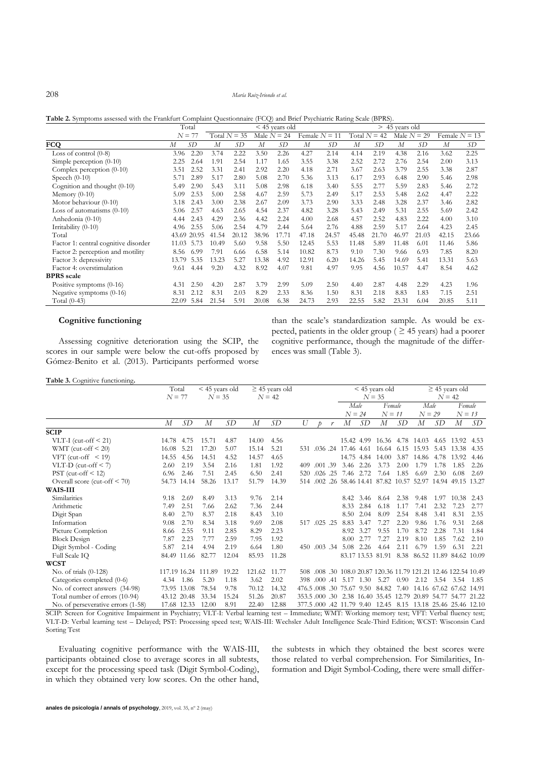208 *María Ruiz-Iriondo et al.*

**Table 2.** Symptoms assessed with the Frankfurt Complaint Questionnaire (FCQ) and Brief Psychiatric Rating Scale (BPRS).

|                                      | Total<br>$\leq$ 45 years old |       |                                                    |       |       |                | $> 45$ years old |               |       |                 |       |       |       |       |
|--------------------------------------|------------------------------|-------|----------------------------------------------------|-------|-------|----------------|------------------|---------------|-------|-----------------|-------|-------|-------|-------|
|                                      | $N = 77$                     |       | Male $N = 24$<br>Total $N = 35$<br>Female $N = 11$ |       |       | Total $N = 42$ |                  | Male $N = 29$ |       | Female $N = 13$ |       |       |       |       |
| <b>FCQ</b>                           | M                            | SD    | М                                                  | SD    | М     | SD             | $\boldsymbol{M}$ | SD            | М     | SD              | M     | SD    | M     | SD    |
| Loss of control $(0-8)$              | 3.96                         | 2.20  | 3.74                                               | 2.22  | 3.50  | 2.26           | 4.27             | 2.14          | 4.14  | 2.19            | 4.38  | 2.16  | 3.62  | 2.25  |
| Simple perception $(0-10)$           | 2.25                         | 2.64  | 1.91                                               | 2.54  | 1.17  | 1.65           | 3.55             | 3.38          | 2.52  | 2.72            | 2.76  | 2.54  | 2.00  | 3.13  |
| Complex perception (0-10)            | 3.51                         | 2.52  | 3.31                                               | 2.41  | 2.92  | 2.20           | 4.18             | 2.71          | 3.67  | 2.63            | 3.79  | 2.55  | 3.38  | 2.87  |
| Speech $(0-10)$                      | 5.71                         | 2.89  | 5.17                                               | 2.80  | 5.08  | 2.70           | 5.36             | 3.13          | 6.17  | 2.93            | 6.48  | 2.90  | 5.46  | 2.98  |
| Cognition and thought (0-10)         | 5.49                         | 2.90  | 5.43                                               | 3.11  | 5.08  | 2.98           | 6.18             | 3.40          | 5.55  | 2.77            | 5.59  | 2.83  | 5.46  | 2.72  |
| Memory $(0-10)$                      | 5.09                         | 2.53  | 5.00                                               | 2.58  | 4.67  | 2.59           | 5.73             | 2.49          | 5.17  | 2.53            | 5.48  | 2.62  | 4.47  | 2.22  |
| Motor behaviour (0-10)               | 3.18                         | 2.43  | 3.00                                               | 2.38  | 2.67  | 2.09           | 3.73             | 2.90          | 3.33  | 2.48            | 3.28  | 2.37  | 3.46  | 2.82  |
| Loss of automatisms $(0-10)$         | 5.06                         | 2.57  | 4.63                                               | 2.65  | 4.54  | 2.37           | 4.82             | 3.28          | 5.43  | 2.49            | 5.31  | 2.55  | 5.69  | 2.42  |
| Anhedonia (0-10)                     | 4.44                         | 2.43  | 4.29                                               | 2.36  | 4.42  | 2.24           | 4.00             | 2.68          | 4.57  | 2.52            | 4.83  | 2.22  | 4.00  | 3.10  |
| Irritability (0-10)                  | 4.96                         | 2.55  | 5.06                                               | 2.54  | 4.79  | 2.44           | 5.64             | 2.76          | 4.88  | 2.59            | 5.17  | 2.64  | 4.23  | 2.45  |
| Total                                | 43.69                        | 20.95 | 41.54                                              | 20.12 | 38.96 | 17.71          | 47.18            | 24.57         | 45.48 | 21.70           | 46.97 | 21.03 | 42.15 | 23.66 |
| Factor 1: central cognitive disorder | 11.03                        | 5.73  | 10.49                                              | 5.60  | 9.58  | 5.50           | 12.45            | 5.53          | 11.48 | 5.89            | 11.48 | 6.01  | 11.46 | 5.86  |
| Factor 2: perception and motility    | 8.56                         | 6.99  | 7.91                                               | 6.66  | 6.58  | 5.14           | 10.82            | 8.73          | 9.10  | 7.30            | 9.66  | 6.93  | 7.85  | 8.20  |
| Factor 3: depressivity               | 13.79                        | 5.35  | 13.23                                              | 5.27  | 13.38 | 4.92           | 12.91            | 6.20          | 14.26 | 5.45            | 14.69 | 5.41  | 13.31 | 5.63  |
| Factor 4: overstimulation            | 9.61                         | 4.44  | 9.20                                               | 4.32  | 8.92  | 4.07           | 9.81             | 4.97          | 9.95  | 4.56            | 10.57 | 4.47  | 8.54  | 4.62  |
| <b>BPRS</b> scale                    |                              |       |                                                    |       |       |                |                  |               |       |                 |       |       |       |       |
| Positive symptoms $(0-16)$           | 4.31                         | 2.50  | 4.20                                               | 2.87  | 3.79  | 2.99           | 5.09             | 2.50          | 4.40  | 2.87            | 4.48  | 2.29  | 4.23  | 1.96  |
| Negative symptoms $(0-16)$           | 8.31                         | 2.12  | 8.31                                               | 2.03  | 8.29  | 2.33           | 8.36             | 1.50          | 8.31  | 2.18            | 8.83  | 1.83  | 7.15  | 2.51  |
| Total $(0-43)$                       | 22.09                        | 5.84  | 21.54                                              | 5.91  | 20.08 | 6.38           | 24.73            | 2.93          | 22.55 | 5.82            | 23.31 | 6.04  | 20.85 | 5.11  |

## **Cognitive functioning**

Assessing cognitive deterioration using the SCIP, the scores in our sample were below the cut-offs proposed by Gómez-Benito et al. (2013). Participants performed worse

# than the scale's standardization sample. As would be expected, patients in the older group ( $\geq$  45 years) had a poorer cognitive performance, though the magnitude of the differences was small (Table 3).

#### **Table 3.** Cognitive functioning**.**

|                                                                                                                                                   | Total          |             | < 45 years old      |       | $\geq$ 45 years old |          |     |              |   | $<$ 45 years old        |            |            |      | $\geq$ 45 years old                                                  |          |                  |      |
|---------------------------------------------------------------------------------------------------------------------------------------------------|----------------|-------------|---------------------|-------|---------------------|----------|-----|--------------|---|-------------------------|------------|------------|------|----------------------------------------------------------------------|----------|------------------|------|
|                                                                                                                                                   | $N = 77$       |             | $N = 35$            |       |                     | $N = 42$ |     |              |   |                         | $N = 35$   |            |      |                                                                      | $N = 42$ |                  |      |
|                                                                                                                                                   |                |             |                     |       |                     |          |     |              |   | Male                    |            | Female     |      | Male                                                                 |          | Female           |      |
|                                                                                                                                                   |                |             |                     |       |                     |          |     |              |   | $N = 24$                |            | $N = 11$   |      | $N = 29$                                                             |          | $N = 13$         |      |
|                                                                                                                                                   | $\overline{M}$ | SD          | $\overline{M}$      | SD    | $\overline{M}$      | SD       | U   | ħ            | r | М                       | SD         | М          | SD   | $\boldsymbol{M}$                                                     | SD       | $\boldsymbol{M}$ | SD   |
| <b>SCIP</b>                                                                                                                                       |                |             |                     |       |                     |          |     |              |   |                         |            |            |      |                                                                      |          |                  |      |
| VLT-I (cut-off $\leq$ 21)                                                                                                                         | 14.78          | 4.75        | 15.71               | 4.87  | 14.00               | 4.56     |     |              |   |                         |            |            |      | 15.42 4.99 16.36 4.78 14.03                                          | 4.65     | 13.92            | 4.53 |
| WMT (cut-off $\leq$ 20)                                                                                                                           | 16.08          | 5.21        | 17.20               | 5.07  | 15.14               | 5.21     |     |              |   | 531 .036 .24 17.46 4.61 |            | 16.64 6.15 |      | 15.93                                                                | 5.43     | 13.38            | 4.35 |
| VFT (cut-off $\leq$ 19)                                                                                                                           | 14.55          | 4.56        | 14.51               | 4.52  | 14.57               | 4.65     |     |              |   |                         | 14.75 4.84 | 14.00      | 3.87 | 14.86                                                                | 4.78     | 13.92            | 4.46 |
| VLT-D (cut-off $\leq$ 7)                                                                                                                          | 2.60           | 2.19        | 3.54                | 2.16  | 1.81                | 1.92     |     | 409 .001 .39 |   | 3.46                    | 2.26       | 3.73       | 2.00 | 1.79                                                                 | 1.78     | 1.85             | 2.26 |
| $PST$ (cut-off $\leq 12$ )                                                                                                                        | 6.96           | 2.46        | 7.51                | 2.45  | 6.50                | 2.41     | 520 | $.026$ $.25$ |   | 7.46 2.72               |            | 7.64       | 1.85 | 6.69                                                                 | 2.30     | 6.08             | 2.69 |
| Overall score (cut-off $\leq 70$ )                                                                                                                |                | 54.73 14.14 | 58.26               | 13.17 | 51.79               | 14.39    |     |              |   |                         |            |            |      | 514 .002 .26 58.46 14.41 87.82 10.57 52.97 14.94 49.15 13.27         |          |                  |      |
| <b>WAIS-III</b>                                                                                                                                   |                |             |                     |       |                     |          |     |              |   |                         |            |            |      |                                                                      |          |                  |      |
| Similarities                                                                                                                                      | 9.18           | 2.69        | 8.49                | 3.13  | 9.76                | 2.14     |     |              |   |                         | 8.42 3.46  | 8.64       | 2.38 | 9.48                                                                 | 1.97     | 10.38            | 2.43 |
| Arithmetic                                                                                                                                        | 7.49           | 2.51        | 7.66                | 2.62  | 7.36                | 2.44     |     |              |   | 8.33                    | 2.84       | 6.18       | 1.17 | 7.41                                                                 | 2.32     | 7.23             | 2.77 |
| Digit Span                                                                                                                                        | 8.40           | 2.70        | 8.37                | 2.18  | 8.43                | 3.10     |     |              |   | 8.50                    | 2.04       | 8.09       | 2.54 | 8.48                                                                 | 3.41     | 8.31             | 2.35 |
| Information                                                                                                                                       | 9.08           | 2.70        | 8.34                | 3.18  | 9.69                | 2.08     |     | 517 .025 .25 |   | 8.83                    | 3.47       | 7.27       | 2.20 | 9.86                                                                 | 1.76     | 9.31             | 2.68 |
| Picture Completion                                                                                                                                | 8.66           | 2.55        | 9.11                | 2.85  | 8.29                | 2.23     |     |              |   | 8.92                    | 3.27       | 9.55       | 1.70 | 8.72                                                                 | 2.28     | 7.31             | 1.84 |
| <b>Block Design</b>                                                                                                                               | 7.87           | 2.23        | 7.77                | 2.59  | 7.95                | 1.92     |     |              |   | 8.00                    | 2.77       | 7.27       | 2.19 | 8.10                                                                 | 1.85     | 7.62             | 2.10 |
| Digit Symbol - Coding                                                                                                                             | 5.87           | 2.14        | 4.94                | 2.19  | 6.64                | 1.80     |     | 450 .003 .34 |   |                         | 5.08 2.26  | 4.64       | 2.11 | 6.79                                                                 | 1.59     | 6.31             | 2.21 |
| Full Scale IQ                                                                                                                                     |                | 84.49 11.66 | 82.77               | 12.04 | 85.93               | 11.28    |     |              |   |                         |            |            |      | 83.17 13.53 81.91 8.38 86.52 11.89 84.62 10.09                       |          |                  |      |
| <b>WCST</b>                                                                                                                                       |                |             |                     |       |                     |          |     |              |   |                         |            |            |      |                                                                      |          |                  |      |
| No. of trials $(0-128)$                                                                                                                           |                |             | 117.19 16.24 111.89 | 19.22 | 121.62              | 11.77    |     |              |   |                         |            |            |      | 508 .008 .30 108 0 20 87 120 36 11 79 121 21 12 46 122 54 10 49      |          |                  |      |
| Categories completed (0-6)                                                                                                                        | 4.34           | 1.86        | 5.20                | 1.18  | 3.62                | 2.02     | 398 |              |   | $.000$ 41 5.17 1.30     |            | 5.27       | 0.90 | 2.12                                                                 | 3.54     | 3.54             | 1.85 |
| No. of correct answers (34-98)                                                                                                                    |                | 73.95 13.08 | 78.54               | 9.78  | 70.12               | 14.32    |     |              |   |                         |            |            |      | 476.5, 008, 30, 75.67, 9.50, 84.82, 7.40, 14.16, 67.62, 67.62, 14.91 |          |                  |      |
| Total number of errors (10-94)                                                                                                                    |                | 43.12 20.48 | 33.34               | 15.24 | 51.26               | 20.87    |     |              |   |                         |            |            |      | 353.5, 000 .30 2.38 16.40 35.45 12.79 20.89 54.77 54.77 21.22        |          |                  |      |
| No. of perseverative errors (1-58)                                                                                                                |                | 17.68 12.33 | 12.00               | 8.91  | 22.40               | 12.88    |     |              |   |                         |            |            |      | 377.5,000,42 11.79 9.40 12.45 8.15 13.18 25.46 25.46 12.10           |          |                  |      |
| SCIP: Screen for Cognitive Impairment in Psychiatry; VLT-I: Verbal learning test - Immediate; WMT: Working memory test; VFT: Verbal fluency test; |                |             |                     |       |                     |          |     |              |   |                         |            |            |      |                                                                      |          |                  |      |

VLT-D: Verbal learning test – Delayed; PST: Processing speed test; WAIS-III: Wechsler Adult Intelligence Scale-Third Edition; WCST: Wisconsin Card Sorting Test

Evaluating cognitive performance with the WAIS-III, participants obtained close to average scores in all subtests, except for the processing speed task (Digit Symbol-Coding), in which they obtained very low scores. On the other hand,

the subtests in which they obtained the best scores were those related to verbal comprehension. For Similarities, Information and Digit Symbol-Coding, there were small differ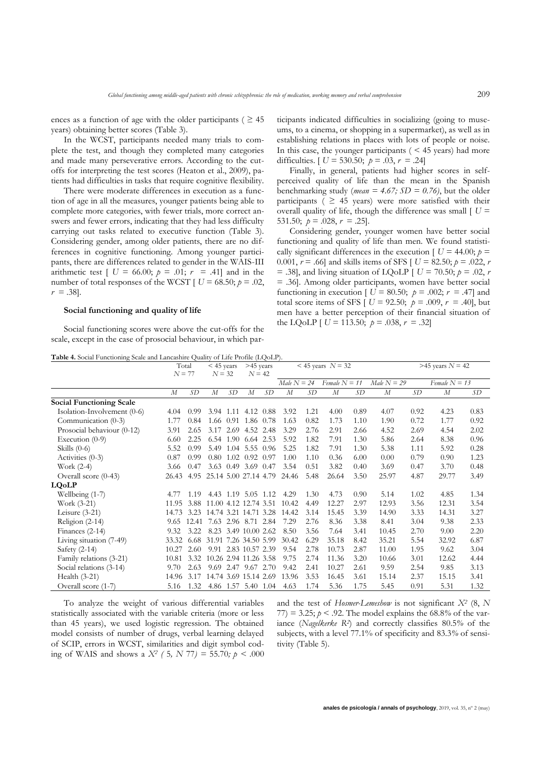ences as a function of age with the older participants ( $\geq 45$ ) years) obtaining better scores (Table 3).

In the WCST, participants needed many trials to complete the test, and though they completed many categories and made many perseverative errors. According to the cutoffs for interpreting the test scores (Heaton et al., 2009), patients had difficulties in tasks that require cognitive flexibility.

There were moderate differences in execution as a function of age in all the measures, younger patients being able to complete more categories, with fewer trials, more correct answers and fewer errors, indicating that they had less difficulty carrying out tasks related to executive function (Table 3). Considering gender, among older patients, there are no differences in cognitive functioning. Among younger participants, there are differences related to gender in the WAIS-III arithmetic test  $[U = 66.00; p = .01; r = .41]$  and in the number of total responses of the WCST  $\vert U = 68.50; p = .02$ ,  $r = .38$ ].

#### **Social functioning and quality of life**

Social functioning scores were above the cut-offs for the scale, except in the case of prosocial behaviour, in which participants indicated difficulties in socializing (going to museums, to a cinema, or shopping in a supermarket), as well as in establishing relations in places with lots of people or noise. In this case, the younger participants  $($  < 45 years) had more difficulties.  $[U = 530.50; \ p = .03, r = .24]$ 

Finally, in general, patients had higher scores in selfperceived quality of life than the mean in the Spanish benchmarking study (*mean = 4.67; SD = 0.76)*, but the older participants ( $\geq$  45 years) were more satisfied with their overall quality of life, though the difference was small  $\int U =$ 531.50;  $p = .028$ ,  $r = .25$ .

Considering gender, younger women have better social functioning and quality of life than men. We found statistically significant differences in the execution  $\int U = 44.00$ ;  $p =$ 0.001,  $r = .66$ ] and skills items of SFS [  $U = 82.50$ ;  $p = .022$ , *r*  $=$  .38], and living situation of LQoLP  $\vert U = 70.50; p = .02, r$ = .36]. Among older participants, women have better social functioning in execution  $\left[ U = 80.50; p = .002; r = .47 \right]$  and total score items of SFS  $[ U = 92.50; p = .009, r = .40]$ , but men have a better perception of their financial situation of the LQoLP  $[U = 113.50; p = .038, r = .32]$ 

**Table 4.** Social Functioning Scale and Lancashire Quality of Life Profile (LQoLP).

|                                 | Total<br>$N = 77$ |       | $<$ 45 years<br>$N = 32$ |           | >45 years<br>$N = 42$ |      | $<$ 45 years $N = 32$ |      |                  |      |               | $>45$ years $N = 42$ |                  |      |  |  |
|---------------------------------|-------------------|-------|--------------------------|-----------|-----------------------|------|-----------------------|------|------------------|------|---------------|----------------------|------------------|------|--|--|
|                                 |                   |       |                          |           |                       |      | $Male N = 24$         |      | Female $N = 11$  |      | $Male N = 29$ |                      | Female $N = 13$  |      |  |  |
|                                 | $\boldsymbol{M}$  | SD    | $\boldsymbol{M}$         | SD        | $\boldsymbol{M}$      | SD   | $\boldsymbol{M}$      | SD   | $\boldsymbol{M}$ | SD   | М             | SD                   | $\boldsymbol{M}$ | SD   |  |  |
| <b>Social Functioning Scale</b> |                   |       |                          |           |                       |      |                       |      |                  |      |               |                      |                  |      |  |  |
| Isolation-Involvement (0-6)     | 4.04              | 0.99  |                          | 3.94 1.11 | 4.12                  | 0.88 | 3.92                  | 1.21 | 4.00             | 0.89 | 4.07          | 0.92                 | 4.23             | 0.83 |  |  |
| Communication (0-3)             | 1.77              | 0.84  |                          |           | 1.66 0.91 1.86 0.78   |      | 1.63                  | 0.82 | 1.73             | 1.10 | 1.90          | 0.72                 | 1.77             | 0.92 |  |  |
| Prosocial behaviour (0-12)      | 3.91              | 2.65  | 3.17                     | 2.69      | 4.52 2.48             |      | 3.29                  | 2.76 | 2.91             | 2.66 | 4.52          | 2.69                 | 4.54             | 2.02 |  |  |
| Execution $(0-9)$               | 6.60              | 2.25  |                          |           | 6.54 1.90 6.64 2.53   |      | 5.92                  | 1.82 | 7.91             | 1.30 | 5.86          | 2.64                 | 8.38             | 0.96 |  |  |
| Skills $(0-6)$                  | 5.52              | 0.99  |                          |           | 5.49 1.04 5.55 0.96   |      | 5.25                  | 1.82 | 7.91             | 1.30 | 5.38          | 1.11                 | 5.92             | 0.28 |  |  |
| Activities (0-3)                | 0.87              | 0.99  | 0.80                     |           | $1.02 \quad 0.92$     | 0.97 | 1.00                  | 1.10 | 0.36             | 6.00 | 0.00          | 0.79                 | 0.90             | 1.23 |  |  |
| Work $(2-4)$                    | 3.66              | 0.47  |                          |           | 3.63 0.49 3.69 0.47   |      | 3.54                  | 0.51 | 3.82             | 0.40 | 3.69          | 0.47                 | 3.70             | 0.48 |  |  |
| Overall score $(0-43)$          | 26.43             | 4.95  | 25.14 5.00 27.14 4.79    |           |                       |      | 24.46                 | 5.48 | 26.64            | 3.50 | 25.97         | 4.87                 | 29.77            | 3.49 |  |  |
| <b>LQoLP</b>                    |                   |       |                          |           |                       |      |                       |      |                  |      |               |                      |                  |      |  |  |
| Wellbeing (1-7)                 | 4.77              | 1.19  | 4.43                     |           | 1.19 5.05 1.12        |      | 4.29                  | 1.30 | 4.73             | 0.90 | 5.14          | 1.02                 | 4.85             | 1.34 |  |  |
| Work (3-21)                     | 11.95             | 3.88  | 11.00 4.12 12.74 3.51    |           |                       |      | 10.42                 | 4.49 | 12.27            | 2.97 | 12.93         | 3.56                 | 12.31            | 3.54 |  |  |
| Leisure $(3-21)$                | 14.73             | 3.23  | 14.74 3.21 14.71 3.28    |           |                       |      | 14.42                 | 3.14 | 15.45            | 3.39 | 14.90         | 3.33                 | 14.31            | 3.27 |  |  |
| Religion $(2-14)$               | 9.65              | 12.41 |                          |           | 7.63 2.96 8.71 2.84   |      | 7.29                  | 2.76 | 8.36             | 3.38 | 8.41          | 3.04                 | 9.38             | 2.33 |  |  |
| Finances $(2-14)$               | 9.32              | 3.22  | 8.23                     |           | 3.49 10.00 2.62       |      | 8.50                  | 3.56 | 7.64             | 3.41 | 10.45         | 2.70                 | 9.00             | 2.20 |  |  |
| Living situation (7-49)         | 33.32             | 6.68  | 31.91 7.26 34.50 5.99    |           |                       |      | 30.42                 | 6.29 | 35.18            | 8.42 | 35.21         | 5.54                 | 32.92            | 6.87 |  |  |
| Safety $(2-14)$                 | 10.27             | 2.60  |                          |           | 9.91 2.83 10.57 2.39  |      | 9.54                  | 2.78 | 10.73            | 2.87 | 11.00         | 1.95                 | 9.62             | 3.04 |  |  |
| Family relations (3-21)         | 10.81             | 3.32  |                          |           | 10.26 2.94 11.26 3.58 |      | 9.75                  | 2.74 | 11.36            | 3.20 | 10.66         | 3.01                 | 12.62            | 4.44 |  |  |
| Social relations (3-14)         | 9.70              | 2.63  |                          |           | 9.69 2.47 9.67 2.70   |      | 9.42                  | 2.41 | 10.27            | 2.61 | 9.59          | 2.54                 | 9.85             | 3.13 |  |  |
| Health $(3-21)$                 | 14.96             | 3.17  |                          |           | 14.74 3.69 15.14 2.69 |      | 13.96                 | 3.53 | 16.45            | 3.61 | 15.14         | 2.37                 | 15.15            | 3.41 |  |  |
| Overall score (1-7)             | 5.16              | 1.32  |                          |           | 4.86 1.57 5.40 1.04   |      | 4.63                  | 1.74 | 5.36             | 1.75 | 5.45          | 0.91                 | 5.31             | 1.32 |  |  |

To analyze the weight of various differential variables statistically associated with the variable criteria (more or less than 45 years), we used logistic regression. The obtained model consists of number of drugs, verbal learning delayed of SCIP, errors in WCST, similarities and digit symbol coding of WAIS and shows a  $X^2$  (5, N 77) = 55.70*;*  $p < .000$ 

and the test of *Hosmer-Lemeshow* is not significant *X<sup>2</sup>* (8, *N* 77) = 3.25;  $p < 0.92$ . The model explains the 68.8% of the variance (*Nagelkerke R<sup>2</sup>* ) and correctly classifies 80.5*%* of the subjects, with a level 77.1% of specificity and 83.3*%* of sensitivity (Table 5).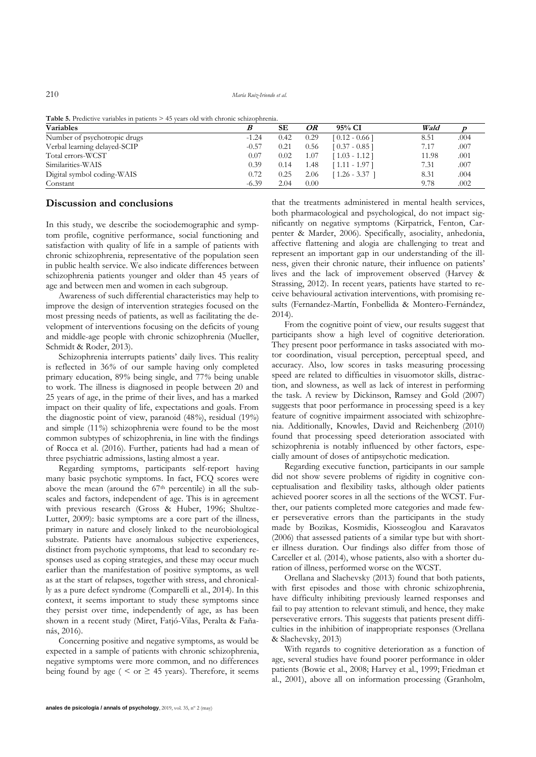210 *María Ruiz-Iriondo et al.*

| <b>Table 5.</b> Predictive variables in patients $> 45$ years old with chronic schizophrenia. |  |  |  |
|-----------------------------------------------------------------------------------------------|--|--|--|
|-----------------------------------------------------------------------------------------------|--|--|--|

| <b>Table 9.</b> I redictive variables in patients $\epsilon$ +3 years old with chronic schizophicina.<br><b>Variables</b> |         | SЕ<br>OR<br>$95%$ CI |      |                 | Wald  |      |
|---------------------------------------------------------------------------------------------------------------------------|---------|----------------------|------|-----------------|-------|------|
| Number of psychotropic drugs                                                                                              | $-1.24$ | 0.42                 | 0.29 | $[0.12 - 0.66]$ | 8.51  | .004 |
| Verbal learning delayed-SCIP                                                                                              | $-0.57$ | 0.21                 | 0.56 | $[0.37 - 0.85]$ | 7.17  | .007 |
| Total errors-WCST                                                                                                         | 0.07    | 0.02                 | 07،، | [1.03 - 1.12]   | 11.98 | .001 |
| Similarities-WAIS                                                                                                         | 0.39    | 0.14                 | 1.48 | 1.11 - 1.97 1   | 7.31  | .007 |
| Digital symbol coding-WAIS                                                                                                | 0.72    | 0.25                 | 2.06 | 1.26 - 3.37     | 8.31  | .004 |
| Constant                                                                                                                  | $-6.39$ | 2.04                 | 0.00 |                 | 9.78  | .002 |

## **Discussion and conclusions**

In this study, we describe the sociodemographic and symptom profile, cognitive performance, social functioning and satisfaction with quality of life in a sample of patients with chronic schizophrenia, representative of the population seen in public health service. We also indicate differences between schizophrenia patients younger and older than 45 years of age and between men and women in each subgroup.

Awareness of such differential characteristics may help to improve the design of intervention strategies focused on the most pressing needs of patients, as well as facilitating the development of interventions focusing on the deficits of young and middle-age people with chronic schizophrenia (Mueller, Schmidt & Roder, 2013).

Schizophrenia interrupts patients' daily lives. This reality is reflected in 36*%* of our sample having only completed primary education, 89*%* being single, and 77*%* being unable to work. The illness is diagnosed in people between 20 and 25 years of age, in the prime of their lives, and has a marked impact on their quality of life, expectations and goals. From the diagnostic point of view, paranoid (48*%*), residual (19*%*) and simple (11*%*) schizophrenia were found to be the most common subtypes of schizophrenia, in line with the findings of Rocca et al. (2016). Further, patients had had a mean of three psychiatric admissions, lasting almost a year.

Regarding symptoms, participants self-report having many basic psychotic symptoms. In fact, FCQ scores were above the mean (around the  $67<sup>th</sup>$  percentile) in all the subscales and factors, independent of age. This is in agreement with previous research (Gross & Huber, 1996; Shultze-Lutter, 2009): basic symptoms are a core part of the illness, primary in nature and closely linked to the neurobiological substrate. Patients have anomalous subjective experiences, distinct from psychotic symptoms, that lead to secondary responses used as coping strategies, and these may occur much earlier than the manifestation of positive symptoms, as well as at the start of relapses, together with stress, and chronically as a pure defect syndrome (Comparelli et al., 2014). In this context, it seems important to study these symptoms since they persist over time, independently of age, as has been shown in a recent study (Miret, Fatjó-Vilas, Peralta & Fañanás, 2016).

Concerning positive and negative symptoms, as would be expected in a sample of patients with chronic schizophrenia, negative symptoms were more common, and no differences being found by age (  $\le$  or  $\ge$  45 years). Therefore, it seems that the treatments administered in mental health services, both pharmacological and psychological, do not impact significantly on negative symptoms (Kirpatrick, Fenton, Carpenter & Marder, 2006). Specifically, asociality, anhedonia, affective flattening and alogia are challenging to treat and represent an important gap in our understanding of the illness, given their chronic nature, their influence on patients' lives and the lack of improvement observed (Harvey & Strassing, 2012). In recent years, patients have started to receive behavioural activation interventions, with promising results (Fernandez-Martín, Fonbellida & Montero-Fernández, 2014).

From the cognitive point of view, our results suggest that participants show a high level of cognitive deterioration. They present poor performance in tasks associated with motor coordination, visual perception, perceptual speed, and accuracy. Also, low scores in tasks measuring processing speed are related to difficulties in visuomotor skills, distraction, and slowness, as well as lack of interest in performing the task. A review by Dickinson, Ramsey and Gold (2007) suggests that poor performance in processing speed is a key feature of cognitive impairment associated with schizophrenia. Additionally, Knowles, David and Reichenberg (2010) found that processing speed deterioration associated with schizophrenia is notably influenced by other factors, especially amount of doses of antipsychotic medication.

Regarding executive function, participants in our sample did not show severe problems of rigidity in cognitive conceptualisation and flexibility tasks, although older patients achieved poorer scores in all the sections of the WCST. Further, our patients completed more categories and made fewer perseverative errors than the participants in the study made by Bozikas, Kosmidis, Kiosseoglou and Karavatos (2006) that assessed patients of a similar type but with shorter illness duration. Our findings also differ from those of Carceller et al. (2014), whose patients, also with a shorter duration of illness, performed worse on the WCST.

Orellana and Slachevsky (2013) found that both patients, with first episodes and those with chronic schizophrenia, have difficulty inhibiting previously learned responses and fail to pay attention to relevant stimuli, and hence, they make perseverative errors. This suggests that patients present difficulties in the inhibition of inappropriate responses (Orellana & Slachevsky, 2013)

With regards to cognitive deterioration as a function of age, several studies have found poorer performance in older patients (Bowie et al., 2008; Harvey et al., 1999; Friedman et al., 2001), above all on information processing (Granholm,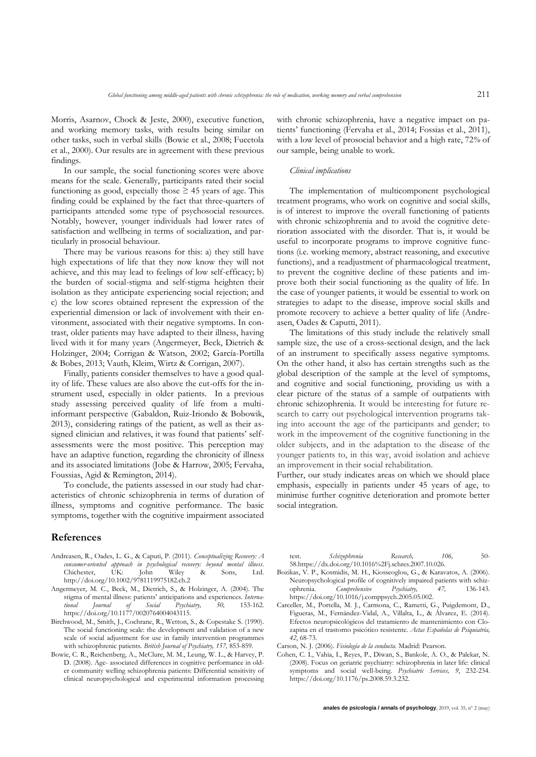Morris, Asarnov, Chock & Jeste, 2000), executive function, and working memory tasks, with results being similar on other tasks, such in verbal skills (Bowie et al., 2008; Fucetola et al., 2000). Our results are in agreement with these previous findings.

In our sample, the social functioning scores were above means for the scale. Generally, participants rated their social functioning as good, especially those  $\geq$  45 years of age. This finding could be explained by the fact that three-quarters of participants attended some type of psychosocial resources. Notably, however, younger individuals had lower rates of satisfaction and wellbeing in terms of socialization, and particularly in prosocial behaviour.

There may be various reasons for this: a) they still have high expectations of life that they now know they will not achieve, and this may lead to feelings of low self-efficacy; b) the burden of social-stigma and self-stigma heighten their isolation as they anticipate experiencing social rejection; and c) the low scores obtained represent the expression of the experiential dimension or lack of involvement with their environment, associated with their negative symptoms. In contrast, older patients may have adapted to their illness, having lived with it for many years (Angermeyer, Beck, Dietrich & Holzinger, 2004; Corrigan & Watson, 2002; García-Portilla & Bobes, 2013; Vauth, Kleim, Wirtz & Corrigan, 2007).

Finally, patients consider themselves to have a good quality of life. These values are also above the cut-offs for the instrument used, especially in older patients. In a previous study assessing perceived quality of life from a multiinformant perspective (Gabaldon, Ruiz-Iriondo & Bobowik, 2013), considering ratings of the patient, as well as their assigned clinician and relatives, it was found that patients' selfassessments were the most positive. This perception may have an adaptive function, regarding the chronicity of illness and its associated limitations (Jobe & Harrow, 2005; Fervaha, Foussias, Agid & Remington, 2014).

To conclude, the patients assessed in our study had characteristics of chronic schizophrenia in terms of duration of illness, symptoms and cognitive performance. The basic symptoms, together with the cognitive impairment associated

## **References**

- Andreasen, R., Oades, L. G., & Caputi, P. (2011). *Conceptualizing Recovery: A consumer-oriented approach in psychological recovery: beyond mental illness*. UK: John Wiley & Sons, Ltd. <http://doi.org/10.1002/9781119975182.ch.2>
- Angermeyer, M. C., Beck, M., Dietrich, S., & Holzinger, A. (2004). The stigma of mental illness: patients' anticipations and experiences. *International Journal of Social Psychiatry, 50,* 153-162. [https://doi.org/10.1177/0020764004043115.](https://doi.org/10.1177/0020764004043115)
- Birchwood, M., Smith, J., Cochrane, R., Wetton, S., & Copestake S. (1990). The social functioning scale: the development and validation of a new scale of social adjustment for use in family intervention programmes with schizophrenic patients. *British Journal of Psychiatry, 157,* 853-859.
- Bowie, C. R., Reichenberg, A., McClure, M. M., Leung, W. L., & Harvey, P. D. (2008). Age- associated differences in cognitive performance in older community welling schizophrenia patients: Differential sensitivity of clinical neuropsychological and experimental information processing

with chronic schizophrenia, have a negative impact on patients' functioning (Fervaha et al., 2014; Fossias et al., 2011), with a low level of prosocial behavior and a high rate, 72*%* of our sample, being unable to work.

#### *Clinical implications*

The implementation of multicomponent psychological treatment programs, who work on cognitive and social skills, is of interest to improve the overall functioning of patients with chronic schizophrenia and to avoid the cognitive deterioration associated with the disorder. That is, it would be useful to incorporate programs to improve cognitive functions (i.e. working memory, abstract reasoning, and executive functions), and a readjustment of pharmacological treatment, to prevent the cognitive decline of these patients and improve both their social functioning as the quality of life. In the case of younger patients, it would be essential to work on strategies to adapt to the disease, improve social skills and promote recovery to achieve a better quality of life (Andreasen, Oades & Caputti, 2011).

The limitations of this study include the relatively small sample size, the use of a cross-sectional design, and the lack of an instrument to specifically assess negative symptoms. On the other hand, it also has certain strengths such as the global description of the sample at the level of symptoms, and cognitive and social functioning, providing us with a clear picture of the status of a sample of outpatients with chronic schizophrenia. It would be interesting for future research to carry out psychological intervention programs taking into account the age of the participants and gender; to work in the improvement of the cognitive functioning in the older subjects, and in the adaptation to the disease of the younger patients to, in this way, avoid isolation and achieve an improvement in their social rehabilitation.

Further, our study indicates areas on which we should place emphasis, especially in patients under 45 years of age, to minimise further cognitive deterioration and promote better social integration.

test. *Schizophrenia Research, 106,* 50- 5[8.https://dx.doi.org/10.1016%2Fj.schres.2007.10.026.](https://dx.doi.org/10.1016%2Fj.schres.2007.10.026)

- Bozikas, V. P., Kosmidis, M. H., Kiosseoglou, G., & Karavatos, A. (2006). Neuropsychological profile of cognitively impaired patients with schizophrenia. *Comprehensive Psychiatry, 47,* 136-143. [https://doi.org/10.1016/j.comppsych.2005.05.002.](https://doi.org/10.1016/j.comppsych.2005.05.002)
- Carceller, M., Portella, M. J., Carmona, C., Rametti, G., Puigdemont, D., Figueras, M., Fernández-Vidal, A., Villalta, L., & Álvarez, E. (2014). Efectos neuropsicológicos del tratamiento de mantenimiento con Clozapina en el trastorno psicótico resistente. *Actas Españolas de Psiquiatría, 42*, 68-73.
- Carson, N. J. (2006). *Fisiología de la conducta.* Madrid: Pearson.
- Cohen, C. I., Vahia, I., Reyes, P., Diwan, S., Bankole, A. O., & Palekar, N. (2008). Focus on geriatric psychiatry: schizophrenia in later life: clinical symptoms and social well-being. *Psychiatric Services, 9*, 232-234. [https://doi.org/10.1176/ps.2008.59.3.232.](https://doi.org/10.1176/ps.2008.59.3.232)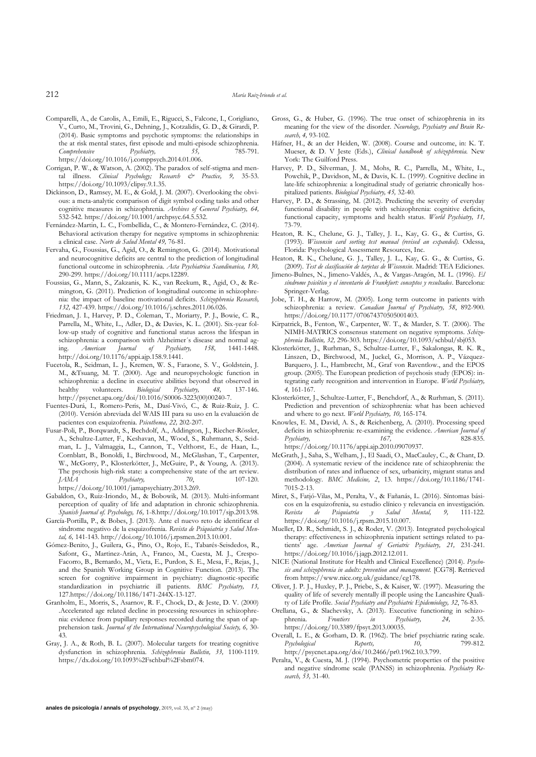- Comparelli, A., de Carolis, A., Emili, E., Rigucci, S., Falcone, I., Corigliano, V., Curto, M., Trovini, G., Dehning, J., Kotzalidis, G. D., & Girardi, P. (2014). Basic symptoms and psychotic symptoms: the relationships in the at risk mental states, first episode and multi-episode schizophrenia.<br> *Comprehensive* Psychiatry, 55, 785-791.  $Comprehensive$ [https://doi.org/10.1016/j.comppsych.2014.01.006.](https://doi.org/10.1016/j.comppsych.2014.01.006)
- Corrigan, P. W., & Watson, A. (2002). The paradox of self-stigma and mental illness. *Clinical Psychology; Research & Practice, 9,* 35-53. [https://doi.org/10.1093/clipsy.9.1.35.](https://doi.org/10.1093/clipsy.9.1.35)
- Dickinson, D., Ramsey, M. E., & Gold, J. M. (2007). Overlooking the obvious: a meta-analytic comparison of digit symbol coding tasks and other cognitive measures in schizophrenia. *Archives of General Psychiatry, 64,* 532-542. [https://doi.org/10.1001/archpsyc.64.5.532.](https://doi.org/10.1001/archpsyc.64.5.532)
- Fernández-Martin, L. C., Fombellida, C., & Montero-Fernández, C. (2014). Behavioral activation therapy for negative symptoms in schizophrenia: a clinical case. *Norte de Salud Mental 49,* 76-81.
- Fervaha, G., Foussias, G., Agid, O., & Remington, G. (2014). Motivational and neurocognitive deficits are central to the prediction of longitudinal functional outcome in schizophrenia. *Acta Psychiatrica Scandinavica, 130,* 290-299. [https://doi.org/10.1111/acps.12289.](https://doi.org/10.1111/acps.12289)
- Foussias, G., Mann, S., Zakzanis, K. K., van Reekum, R., Agid, O., & Remington, G. (2011). Prediction of longitudinal outcome in schizophrenia: the impact of baseline motivational deficits. *Schizophrenia Research, 132,* 427-439. [https://doi.org/10.1016/j.schres.2011.06.026.](https://doi.org/10.1016/j.schres.2011.06.026)
- Friedman, J. I., Harvey, P. D., Coleman, T., Moriarty, P. J., Bowie, C. R., Parrella, M., White, L., Adler, D., & Davies, K. L. (2001). Six-year follow-up study of cognitive and functional status across the lifespan in schizophrenia: a comparison with Alzheimer's disease and normal ag-<br>ing. American [ournal of Psychiatry, 158, 1441-1448] ing. *American Journal of Psychiatry*, [http://doi.org/10.1176/appi.ajp.158.9.1441.](http://doi.org/10.1176/appi.ajp.158.9.1441)
- Fucetola, R., Seidman, L. J., Kremen, W. S., Faraone, S. V., Goldstein, J. M., &Tsuang, M. T. (2000). Age and neuropsychologic function in schizophrenia: a decline in executive abilities beyond that observed in<br>healthy volunteers. Biological Psychiatry. 48. 137-146. healthy volunteers. *Biological Psychiatry, 48,* 137-146. [http://psycnet.apa.org/doi/10.1016/S0006-3223\(00\)00240-7.](http://psycnet.apa.org/doi/10.1016/S0006-3223(00)00240-7)
- Fuentes-Durá, I., Romero-Peris, M., Dasí-Vivó, C., & Ruiz-Ruiz, J. C. (2010). Versión abreviada del WAIS III para su uso en la evaluación de pacientes con esquizofrenia. *Psicothema, 22,* 202-207.
- Fusar-Poli, P., Borqwardt, S., Bechdolf, A., Addington, J., Riecher-Rössler, A., Schultze-Lutter, F., Keshavan, M., Wood, S., Ruhrmann, S., Seidman, L. J., Valmaggia, L., Cannon, T., Velthorst, E., de Haan, L., Cornblatt, B., Bonoldi, I., Birchwood, M., McGlashan, T., Carpenter, W., McGorry, P., Klosterkötter, J., McGuire, P., & Young, A. (2013). The psychosis high-risk state: a comprehensive state of the art review. *JAMA Psychiatry, 70*, 107-120. [https://doi.org/10.1001/jamapsychiatry.2013.269.](https://doi.org/10.1001/jamapsychiatry.2013.269)
- Gabaldon, O., Ruiz-Iriondo, M., & Bobowik, M. (2013). Multi-informant perception of quality of life and adaptation in chronic schizophrenia*. Spanish Journal of. Psychology, 16,* 1-[8.http://doi.org/10.1017/sjp.2013.98.](http://doi.org/10.1017/sjp.2013.98)
- García-Portilla, P., & Bobes, J. (2013). Ante el nuevo reto de identificar el síndrome negativo de la esquizofrenia. *Revista de Psiquiatría y Salud Mental, 6,* 141-143[. http://doi.org/10.1016/j.rpsmen.2013.10.001.](http://doi.org/10.1016/j.rpsmen.2013.10.001)
- Gómez-Benito, J., Guilera, G., Pino, O., Rojo, E., Tabarés-Seisdedos, R., Safont, G., Martinez-Arán, A., Franco, M., Cuesta, M. J., Crespo-Facorro, B., Bernardo, M., Vieta, E., Purdon, S. E., Mesa, F., Rejas, J., and the Spanish Working Group in Cognitive Function. (2013). The screen for cognitive impairment in psychiatry: diagnostic-specific standardization in psychiatric ill patients. *BMC Psychiatry, 13,* 12[7.https://doi.org/10.1186/1471-244X-13-127.](https://doi.org/10.1186/1471-244X-13-127)
- Granholm, E., Morris, S., Asarnov, R. F., Chock, D., & Jeste, D. V. (2000) .Accelerated age related decline in processing resources in schizophrenia: evidence from pupillary responses recorded during the span of apprehension task. *Journal of the International Neuropsychological Society, 6,* 30- 43.
- Gray, J. A., & Roth, B. L. (2007). Molecular targets for treating cognitive dysfunction in schizophrenia. *Schizophrenia Bulletin, 33,* 1100-1119. [https://dx.doi.org/10.1093%2Fschbul%2Fsbm074.](https://dx.doi.org/10.1093%2Fschbul%2Fsbm074)
- Gross, G., & Huber, G. (1996). The true onset of schizophrenia in its meaning for the view of the disorder. *Neurology, Psychiatry and Brain Research, 4,* 93-102.
- Häfner, H., & an der Heiden, W. (2008). Course and outcome, in: K. T. Mueser, & D. V Jeste (Eds.), *Clinical handbook of schizophrenia.* New York: The Guilford Press.
- Harvey, P. D., Silverman, J. M., Mohs, R. C., Parrella, M., White, L., Powchik, P., Davidson, M., & Davis, K. L. (1999). Cognitive decline in late-life schizophrenia: a longitudinal study of geriatric chronically hospitalized patients. *Biological Psychiatry, 45,* 32-40.
- Harvey, P. D., & Strassing, M. (2012). Predicting the severity of everyday functional disability in people with schizophrenia: cognitive deficits, functional capacity, symptoms and health status. *World Psychiatry, 11,* 73-79.
- Heaton, R. K., Chelune, G. J., Talley, J. L., Kay, G. G., & Curtiss, G. (1993). *Wisconsin card sorting test manual (revised an expanded).* Odessa, Florida: Psychological Assessment Resources, Inc.
- Heaton, R. K., Chelune, G. J., Talley, J. L., Kay, G. G., & Curtiss, G. (2009). *Test de clasificación de tarjetas de Wisconsin*. Madrid: TEA Ediciones.
- Jimeno-Bulnes, N., Jimeno-Valdés, A., & Vargas-Aragón, M. L. (1996). *El síndrome psicótico y el inventario de Frankfurt: conceptos y resultados*. Barcelona: Springer-Verlag.
- Jobe, T. H., & Harrow, M. (2005). Long term outcome in patients with schizophrenia: a review. *Canadian Journal of Psychiatry, 58*, 892-900. [https://doi.org/10.1177/070674370505001403.](https://doi.org/10.1177/070674370505001403)
- Kirpatrick, B., Fenton, W., Carpenter, W. T., & Marder, S. T. (2006). The NIMH-MATRICS consensus statement on negative symptoms. *Schizophrenia Bulletin, 32,* 296-303[. https://doi.org/10.1093/schbul/sbj053.](https://doi.org/10.1093/schbul/sbj053)
- Klosterkötter, J., Rurhman, S., Schultze-Lutter, F., Sakalongas, R. K. R., Linszen, D., Birchwood, M., Juckel, G., Morrison, A. P., Vázquez-Barquero, J. L., Hambrecht, M., Graf von Raventlow., and the EPOS group. (2005). The European prediction of psychosis study (EPOS): integrating early recognition and intervention in Europe. *World Psychiatry, 4,* 161-167.
- Klosterkötter, J., Schultze-Lutter, F., Benchdorf, A., & Rurhman, S. (2011). Prediction and prevention of schizophrenia: what has been achieved and where to go next*. World Psychiatry, 10,* 165-174.
- Knowles, E. M., David, A. S., & Reichenberg, A. (2010). Processing speed deficits in schizophrenia: re-examining the evidence. *American Journal of Psychiatry, 167,* 828-835. [https://doi.org/10.1176/appi.ajp.2010.09070937.](https://doi.org/10.1176/appi.ajp.2010.09070937)
- McGrath, J., Saha, S., Welham, J., El Saadi, O., MacCauley, C., & Chant, D. (2004). A systematic review of the incidence rate of schizophrenia: the distribution of rates and influence of sex, urbanicity, migrant status and methodology. *BMC Medicine, 2*, 13. [https://doi.org/10.1186/1741-](https://doi.org/10.1186/1741-7015-2-13) [7015-2-13.](https://doi.org/10.1186/1741-7015-2-13)
- Miret, S., Fatjó-Vilas, M., Peralta, V., & Fañanás, L. (2016). Síntomas básicos en la esquizofrenia, su estudio clínico y relevancia en investigación. *Revista de Psiquiatría y Salud Mental, 9,* 111-122. [https://doi.org/10.1016/j.rpsm.2015.10.007.](https://doi.org/10.1016/j.rpsm.2015.10.007)
- Mueller, D. R., Schmidt, S. J., & Roder, V. (2013). Integrated psychological therapy: effectiveness in schizophrenia inpatient settings related to patients' age. *American Journal of Geriatric Psychiatry, 21,* 231-241. [https://doi.org/10.1016/j.jagp.2012.12.011.](https://doi.org/10.1016/j.jagp.2012.12.011)
- NICE (National Institute for Health and Clinical Excellence) (2014). *Psychosis and schizophrenia in adults: prevention and management.* [CG78]. Retrieved fro[m https://www.nice.org.uk/guidance/cg178.](https://www.nice.org.uk/guidance/cg178)
- Oliver, J. P. J., Huxley, P. J., Priebe, S., & Kaiser, W. (1997). Measuring the quality of life of severely mentally ill people using the Lancashire Quality of Life Profile. *Social Psychiatry and Psychiatric Epidemiology, 32*, 76-83.
- Orellana, G., & Slachevsky, A. (2013). Executive functioning in schizo-<br>phrenia. Frontiers in Psychiatry. 24. 2-35. phrenia. *Frontiers in Psychiatry, 24,* 2-35. [https://doi.org/10.3389/fpsyt.2013.00035.](https://doi.org/10.3389/fpsyt.2013.00035)
- Overall, L. E., & Gorham, D. R. (1962). The brief psychiatric rating scale.<br> *Psychological* Reports,  $10$ ,  $799-812$ .  $P<sub>sycbological</sub>$ [http://psycnet.apa.org/doi/10.2466/pr0.1962.10.3.799.](http://psycnet.apa.org/doi/10.2466/pr0.1962.10.3.799)
- Peralta, V., & Cuesta, M. J. (1994). Psychometric properties of the positive and negative síndrome scale (PANSS) in schizophrenia. *Psychiatry Research, 53,* 31-40.